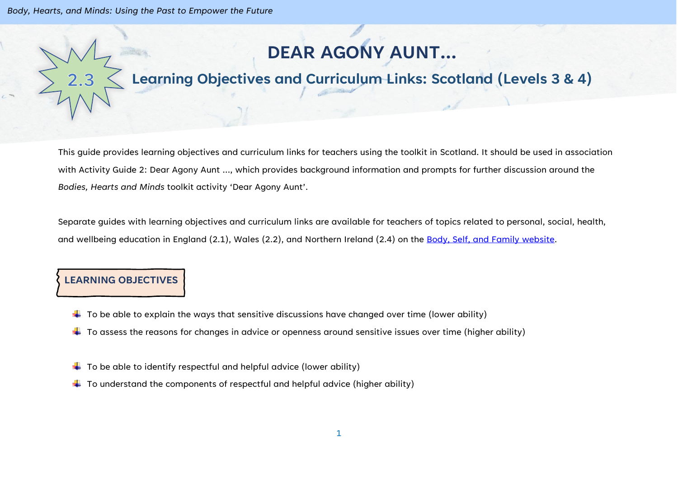*Body, Hearts, and Minds: Using the Past to Empower the Future*

# **DEAR AGONY AUNT…**

# **Learning Objectives and Curriculum Links: Scotland (Levels 3 & 4)**

This guide provides learning objectives and curriculum links for teachers using the toolkit in Scotland. It should be used in association with Activity Guide 2: Dear Agony Aunt …, which provides background information and prompts for further discussion around the *Bodies, Hearts and Minds* toolkit activity 'Dear Agony Aunt'.

Separate guides with learning objectives and curriculum links are available for teachers of topics related to personal, social, health, and wellbeing education in England (2.1), Wales (2.2), and Northern Ireland (2.4) on the [Body, Self, and Family website.](https://bodyselffamily.org/)

#### **LEARNING OBJECTIVES**

- $\downarrow$  To be able to explain the ways that sensitive discussions have changed over time (lower ability)
- $\ddotplus$  To assess the reasons for changes in advice or openness around sensitive issues over time (higher ability)
- $\downarrow$  To be able to identify respectful and helpful advice (lower ability)
- $\downarrow$  To understand the components of respectful and helpful advice (higher ability)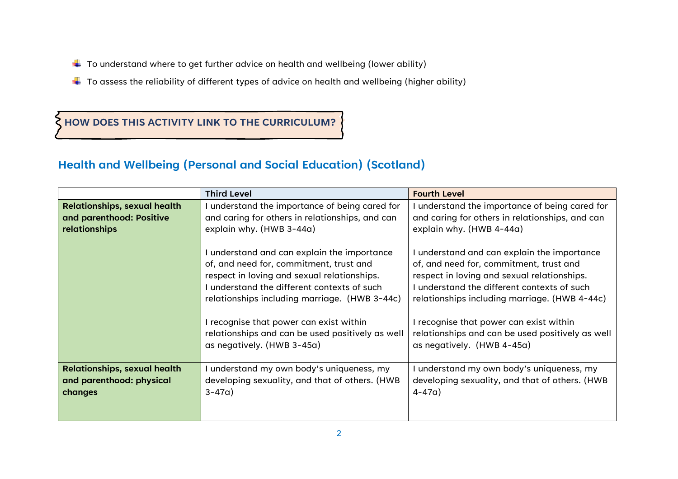- $\downarrow$  To understand where to get further advice on health and wellbeing (lower ability)
- $\ddotplus$  To assess the reliability of different types of advice on health and wellbeing (higher ability)

### **HOW DOES THIS ACTIVITY LINK TO THE CURRICULUM?**

## **Health and Wellbeing (Personal and Social Education) (Scotland)**

|                                                                            | <b>Third Level</b>                                                                                                                    | <b>Fourth Level</b>                                                                                                                   |
|----------------------------------------------------------------------------|---------------------------------------------------------------------------------------------------------------------------------------|---------------------------------------------------------------------------------------------------------------------------------------|
| <b>Relationships, sexual health</b>                                        | I understand the importance of being cared for                                                                                        | understand the importance of being cared for                                                                                          |
| and parenthood: Positive                                                   | and caring for others in relationships, and can                                                                                       | and caring for others in relationships, and can                                                                                       |
| relationships                                                              | explain why. (HWB 3-44a)                                                                                                              | explain why. (HWB 4-44a)                                                                                                              |
|                                                                            | I understand and can explain the importance                                                                                           | I understand and can explain the importance                                                                                           |
|                                                                            | of, and need for, commitment, trust and<br>respect in loving and sexual relationships.<br>I understand the different contexts of such | of, and need for, commitment, trust and<br>respect in loving and sexual relationships.<br>I understand the different contexts of such |
|                                                                            | relationships including marriage. (HWB 3-44c)                                                                                         | relationships including marriage. (HWB 4-44c)                                                                                         |
|                                                                            | I recognise that power can exist within<br>relationships and can be used positively as well<br>as negatively. (HWB 3-45a)             | I recognise that power can exist within<br>relationships and can be used positively as well<br>as negatively. (HWB 4-45a)             |
| <b>Relationships, sexual health</b><br>and parenthood: physical<br>changes | I understand my own body's uniqueness, my<br>developing sexuality, and that of others. (HWB<br>$3 - 47a$ )                            | understand my own body's uniqueness, my<br>developing sexuality, and that of others. (HWB<br>$4 - 47a$                                |